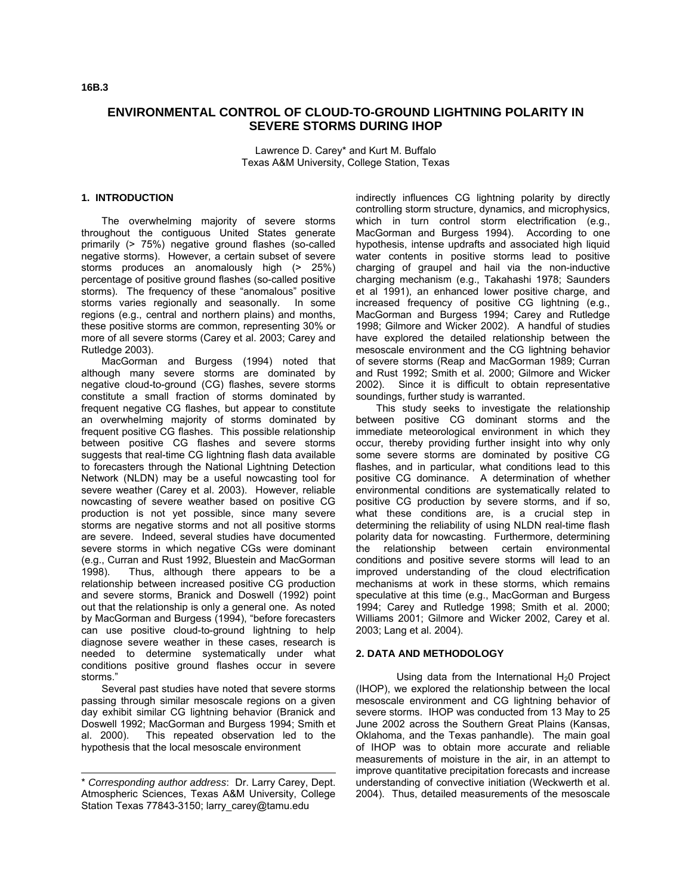# **ENVIRONMENTAL CONTROL OF CLOUD-TO-GROUND LIGHTNING POLARITY IN SEVERE STORMS DURING IHOP**

Lawrence D. Carey\* and Kurt M. Buffalo Texas A&M University, College Station, Texas

#### **1. INTRODUCTION**

The overwhelming majority of severe storms throughout the contiguous United States generate primarily (> 75%) negative ground flashes (so-called negative storms). However, a certain subset of severe storms produces an anomalously high (> 25%) percentage of positive ground flashes (so-called positive storms). The frequency of these "anomalous" positive storms varies regionally and seasonally. In some regions (e.g., central and northern plains) and months, these positive storms are common, representing 30% or more of all severe storms (Carey et al. 2003; Carey and Rutledge 2003).

MacGorman and Burgess (1994) noted that although many severe storms are dominated by negative cloud-to-ground (CG) flashes, severe storms constitute a small fraction of storms dominated by frequent negative CG flashes, but appear to constitute an overwhelming majority of storms dominated by frequent positive CG flashes. This possible relationship between positive CG flashes and severe storms suggests that real-time CG lightning flash data available to forecasters through the National Lightning Detection Network (NLDN) may be a useful nowcasting tool for severe weather (Carey et al. 2003). However, reliable nowcasting of severe weather based on positive CG production is not yet possible, since many severe storms are negative storms and not all positive storms are severe. Indeed, several studies have documented severe storms in which negative CGs were dominant (e.g., Curran and Rust 1992, Bluestein and MacGorman 1998). Thus, although there appears to be a relationship between increased positive CG production and severe storms, Branick and Doswell (1992) point out that the relationship is only a general one. As noted by MacGorman and Burgess (1994), "before forecasters can use positive cloud-to-ground lightning to help diagnose severe weather in these cases, research is needed to determine systematically under what conditions positive ground flashes occur in severe storms."

Several past studies have noted that severe storms passing through similar mesoscale regions on a given day exhibit similar CG lightning behavior (Branick and Doswell 1992; MacGorman and Burgess 1994; Smith et al. 2000). This repeated observation led to the hypothesis that the local mesoscale environment

indirectly influences CG lightning polarity by directly controlling storm structure, dynamics, and microphysics, which in turn control storm electrification (e.g., MacGorman and Burgess 1994). According to one hypothesis, intense updrafts and associated high liquid water contents in positive storms lead to positive charging of graupel and hail via the non-inductive charging mechanism (e.g., Takahashi 1978; Saunders et al 1991), an enhanced lower positive charge, and increased frequency of positive CG lightning (e.g., MacGorman and Burgess 1994; Carey and Rutledge 1998; Gilmore and Wicker 2002). A handful of studies have explored the detailed relationship between the mesoscale environment and the CG lightning behavior of severe storms (Reap and MacGorman 1989; Curran and Rust 1992; Smith et al. 2000; Gilmore and Wicker 2002). Since it is difficult to obtain representative soundings, further study is warranted.

This study seeks to investigate the relationship between positive CG dominant storms and the immediate meteorological environment in which they occur, thereby providing further insight into why only some severe storms are dominated by positive CG flashes, and in particular, what conditions lead to this positive CG dominance. A determination of whether environmental conditions are systematically related to positive CG production by severe storms, and if so, what these conditions are, is a crucial step in determining the reliability of using NLDN real-time flash polarity data for nowcasting. Furthermore, determining the relationship between certain environmental conditions and positive severe storms will lead to an improved understanding of the cloud electrification mechanisms at work in these storms, which remains speculative at this time (e.g., MacGorman and Burgess 1994; Carey and Rutledge 1998; Smith et al. 2000; Williams 2001; Gilmore and Wicker 2002, Carey et al. 2003; Lang et al. 2004).

## **2. DATA AND METHODOLOGY**

Using data from the International  $H_2O$  Project (IHOP), we explored the relationship between the local mesoscale environment and CG lightning behavior of severe storms. IHOP was conducted from 13 May to 25 June 2002 across the Southern Great Plains (Kansas, Oklahoma, and the Texas panhandle). The main goal of IHOP was to obtain more accurate and reliable measurements of moisture in the air, in an attempt to improve quantitative precipitation forecasts and increase understanding of convective initiation (Weckwerth et al. 2004). Thus, detailed measurements of the mesoscale

<sup>\*</sup> *Corresponding author address*: Dr. Larry Carey, Dept. Atmospheric Sciences, Texas A&M University, College Station Texas 77843-3150; larry\_carey@tamu.edu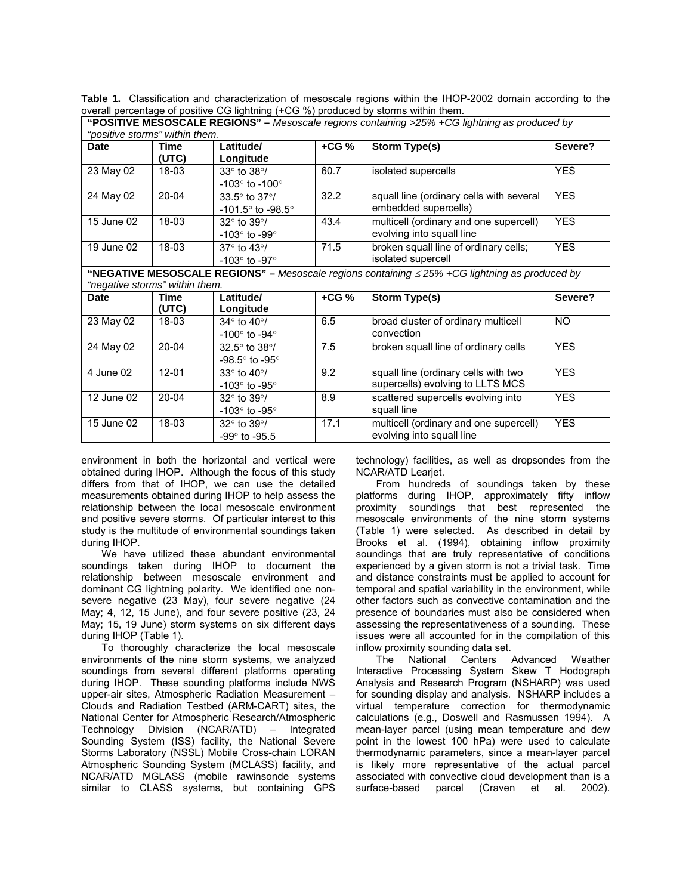**Table 1.** Classification and characterization of mesoscale regions within the IHOP-2002 domain according to the overall percentage of positive CG lightning (+CG %) produced by storms within them.

| "positive storms" within them.                                                                                                        |               |                                                                    |        |                                                                          |            |
|---------------------------------------------------------------------------------------------------------------------------------------|---------------|--------------------------------------------------------------------|--------|--------------------------------------------------------------------------|------------|
| Date                                                                                                                                  | Time<br>(UTC) | Latitude/<br>Longitude                                             | $+CG%$ | <b>Storm Type(s)</b>                                                     | Severe?    |
| 23 May 02                                                                                                                             | $18 - 03$     | $33^\circ$ to $38^\circ/$<br>-103 $^{\circ}$ to -100 $^{\circ}$    | 60.7   | isolated supercells                                                      | <b>YES</b> |
| 24 May 02                                                                                                                             | 20-04         | $33.5^\circ$ to $37^\circ/$<br>$-101.5^{\circ}$ to $-98.5^{\circ}$ | 32.2   | squall line (ordinary cells with several<br>embedded supercells)         | <b>YES</b> |
| 15 June 02                                                                                                                            | 18-03         | $32^\circ$ to $39^\circ/$<br>-103 $^{\circ}$ to -99 $^{\circ}$     | 43.4   | multicell (ordinary and one supercell)<br>evolving into squall line      | <b>YES</b> |
| 19 June 02                                                                                                                            | 18-03         | 37° to 43°/<br>-103 $^{\circ}$ to -97 $^{\circ}$                   | 71.5   | broken squall line of ordinary cells;<br>isolated supercell              | <b>YES</b> |
| "NEGATIVE MESOSCALE REGIONS" – Mesoscale regions containing $\leq$ 25% +CG lightning as produced by<br>"negative storms" within them. |               |                                                                    |        |                                                                          |            |
| Date                                                                                                                                  | Time<br>(UTC) | Latitude/<br>Longitude                                             | $+CG%$ | <b>Storm Type(s)</b>                                                     | Severe?    |
| 23 May 02                                                                                                                             | 18-03         | $34^\circ$ to $40^\circ$ /<br>-100 $^{\circ}$ to -94 $^{\circ}$    | 6.5    | broad cluster of ordinary multicell<br>convection                        | NO.        |
| $\overline{2}$ 4 May 02                                                                                                               | $20 - 04$     | $32.5^\circ$ to $38^\circ/$<br>-98.5 $\degree$ to -95 $\degree$    | 7.5    | broken squall line of ordinary cells                                     | <b>YES</b> |
| 4 June 02                                                                                                                             | $12 - 01$     | $33^\circ$ to $40^\circ/$<br>-103 $^{\circ}$ to -95 $^{\circ}$     | 9.2    | squall line (ordinary cells with two<br>supercells) evolving to LLTS MCS | <b>YES</b> |
| 12 June 02                                                                                                                            | 20-04         | $32^\circ$ to $39^\circ/$<br>-103 $^{\circ}$ to -95 $^{\circ}$     | 8.9    | scattered supercells evolving into<br>squall line                        | <b>YES</b> |
| 15 June 02                                                                                                                            | 18-03         | $32^\circ$ to $39^\circ$ /<br>$-99^{\circ}$ to $-95.5$             | 17.1   | multicell (ordinary and one supercell)<br>evolving into squall line      | <b>YES</b> |

**"POSITIVE MESOSCALE REGIONS" –** *Mesoscale regions containing >25% +CG lightning as produced by* 

environment in both the horizontal and vertical were obtained during IHOP. Although the focus of this study differs from that of IHOP, we can use the detailed measurements obtained during IHOP to help assess the relationship between the local mesoscale environment and positive severe storms. Of particular interest to this study is the multitude of environmental soundings taken during IHOP.

 We have utilized these abundant environmental soundings taken during IHOP to document the relationship between mesoscale environment and dominant CG lightning polarity. We identified one nonsevere negative (23 May), four severe negative (24 May; 4, 12, 15 June), and four severe positive (23, 24 May; 15, 19 June) storm systems on six different days during IHOP (Table 1).

 To thoroughly characterize the local mesoscale environments of the nine storm systems, we analyzed soundings from several different platforms operating during IHOP. These sounding platforms include NWS upper-air sites, Atmospheric Radiation Measurement – Clouds and Radiation Testbed (ARM-CART) sites, the National Center for Atmospheric Research/Atmospheric Technology Division (NCAR/ATD) – Integrated Sounding System (ISS) facility, the National Severe Storms Laboratory (NSSL) Mobile Cross-chain LORAN Atmospheric Sounding System (MCLASS) facility, and NCAR/ATD MGLASS (mobile rawinsonde systems similar to CLASS systems, but containing GPS

technology) facilities, as well as dropsondes from the NCAR/ATD Learjet.

 From hundreds of soundings taken by these platforms during IHOP, approximately fifty inflow proximity soundings that best represented the mesoscale environments of the nine storm systems (Table 1) were selected. As described in detail by Brooks et al. (1994), obtaining inflow proximity soundings that are truly representative of conditions experienced by a given storm is not a trivial task. Time and distance constraints must be applied to account for temporal and spatial variability in the environment, while other factors such as convective contamination and the presence of boundaries must also be considered when assessing the representativeness of a sounding. These issues were all accounted for in the compilation of this inflow proximity sounding data set.

 The National Centers Advanced Weather Interactive Processing System Skew T Hodograph Analysis and Research Program (NSHARP) was used for sounding display and analysis. NSHARP includes a virtual temperature correction for thermodynamic calculations (e.g., Doswell and Rasmussen 1994). A mean-layer parcel (using mean temperature and dew point in the lowest 100 hPa) were used to calculate thermodynamic parameters, since a mean-layer parcel is likely more representative of the actual parcel associated with convective cloud development than is a surface-based parcel (Craven et al. 2002).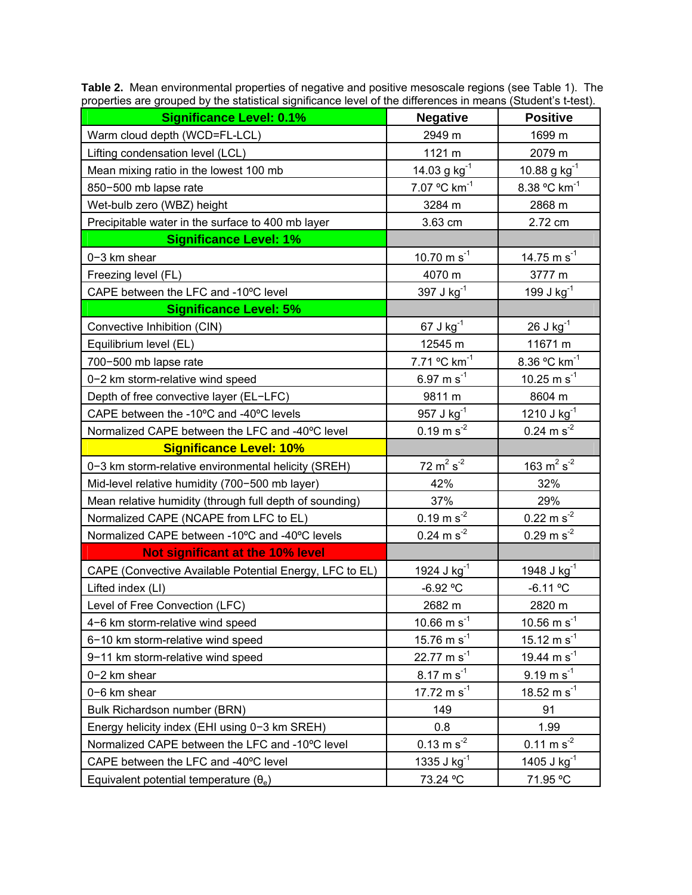| <b>Significance Level: 0.1%</b>                         | <b>Negative</b>                 | <b>Positive</b>                            |
|---------------------------------------------------------|---------------------------------|--------------------------------------------|
| Warm cloud depth (WCD=FL-LCL)                           | 2949 m                          | 1699 m                                     |
| Lifting condensation level (LCL)                        | 1121 m                          | 2079 m                                     |
| Mean mixing ratio in the lowest 100 mb                  | 14.03 g $kg^{-1}$               | $10.88$ g kg <sup>-1</sup>                 |
| 850-500 mb lapse rate                                   | 7.07 °C $km^{-1}$               | 8.38 °C km <sup>-1</sup>                   |
| Wet-bulb zero (WBZ) height                              | 3284 m                          | 2868 m                                     |
| Precipitable water in the surface to 400 mb layer       | 3.63 cm                         | 2.72 cm                                    |
| <b>Significance Level: 1%</b>                           |                                 |                                            |
| 0-3 km shear                                            | 10.70 m s <sup>-1</sup>         | 14.75 m $s^{-1}$                           |
| Freezing level (FL)                                     | 4070 m                          | 3777 m                                     |
| CAPE between the LFC and -10°C level                    | 397 J kg <sup>-1</sup>          | 199 J kg <sup>-1</sup>                     |
| <b>Significance Level: 5%</b>                           |                                 |                                            |
| Convective Inhibition (CIN)                             | $67 J kg^{-1}$                  | $26$ J kg $^{-1}$                          |
| Equilibrium level (EL)                                  | 12545 m                         | 11671 m                                    |
| 700-500 mb lapse rate                                   | 7.71 °C km <sup>-1</sup>        | 8.36 °C km <sup>-1</sup>                   |
| 0-2 km storm-relative wind speed                        | 6.97 m $s^{-1}$                 | 10.25 m $s^{-1}$                           |
| Depth of free convective layer (EL-LFC)                 | 9811 m                          | 8604 m                                     |
| CAPE between the -10°C and -40°C levels                 | 957 J kg <sup>-1</sup>          | 1210 J kg <sup>-1</sup>                    |
| Normalized CAPE between the LFC and -40°C level         | $0.19 \text{ m s}^{-2}$         | $0.24 \text{ m s}^{-2}$                    |
| <b>Significance Level: 10%</b>                          |                                 |                                            |
| 0-3 km storm-relative environmental helicity (SREH)     | $72 \text{ m}^2 \text{ s}^{-2}$ | $\frac{163 \text{ m}^2 \text{ s}^{-2}}{2}$ |
| Mid-level relative humidity (700-500 mb layer)          | 42%                             | 32%                                        |
| Mean relative humidity (through full depth of sounding) | 37%                             | 29%                                        |
| Normalized CAPE (NCAPE from LFC to EL)                  | $0.19 \text{ m s}^{-2}$         | $0.22 \text{ m s}^2$                       |
| Normalized CAPE between -10°C and -40°C levels          | $0.24 \text{ m s}^{-2}$         | $0.29 \text{ m s}^{-2}$                    |
| Not significant at the 10% level                        |                                 |                                            |
| CAPE (Convective Available Potential Energy, LFC to EL) | 1924 J $kg^{-1}$                | 1948 J $kg^{-1}$                           |
| Lifted index (LI)                                       | -6.92 °C                        | $-6.11 °C$                                 |
| Level of Free Convection (LFC)                          | 2682 m                          | 2820 m                                     |
| 4-6 km storm-relative wind speed                        | 10.66 m s <sup>-1</sup>         | 10.56 m $s^{-1}$                           |
| 6-10 km storm-relative wind speed                       | 15.76 m $s^{-1}$                | 15.12 m s <sup>-1</sup>                    |
| 9-11 km storm-relative wind speed                       | 22.77 m $s^{-1}$                | 19.44 m s <sup>-1</sup>                    |
| 0-2 km shear                                            | $8.17 \text{ m s}^{-1}$         | $9.19 \text{ m s}^{-1}$                    |
| 0-6 km shear                                            | 17.72 m $s^{-1}$                | 18.52 m $s^{-1}$                           |
| Bulk Richardson number (BRN)                            | 149                             | 91                                         |
| Energy helicity index (EHI using 0-3 km SREH)           | 0.8                             | 1.99                                       |
| Normalized CAPE between the LFC and -10°C level         | $0.13 \text{ m s}^{-2}$         | $0.11 \text{ m s}^{-2}$                    |
| CAPE between the LFC and -40°C level                    | 1335 J $kg^{-1}$                | 1405 J $kg^{-1}$                           |
| Equivalent potential temperature $(\theta_e)$           | 73.24 °C                        | 71.95 °C                                   |

**Table 2.** Mean environmental properties of negative and positive mesoscale regions (see Table 1). The properties are grouped by the statistical significance level of the differences in means (Student's t-test).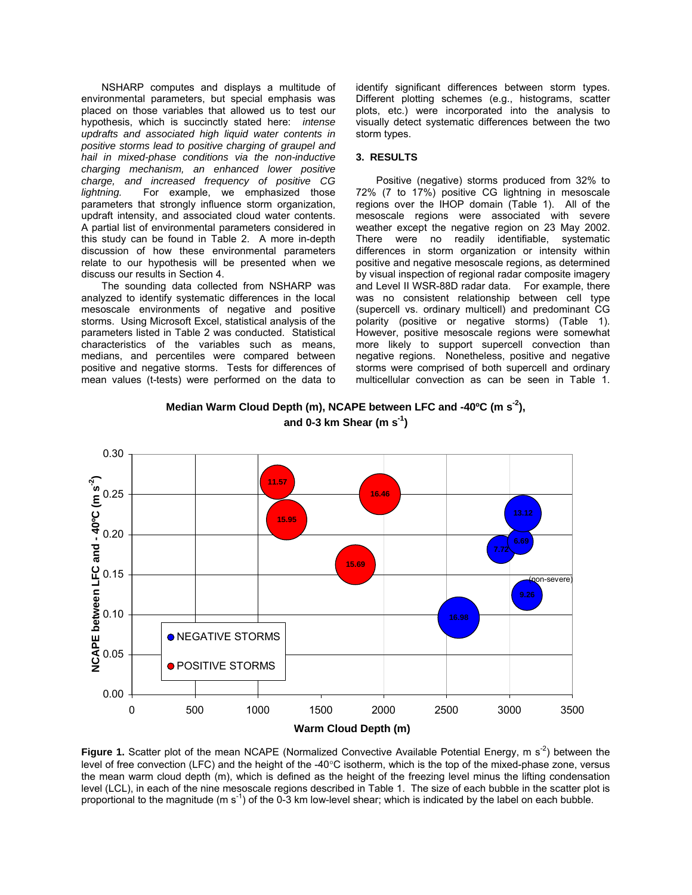NSHARP computes and displays a multitude of environmental parameters, but special emphasis was placed on those variables that allowed us to test our hypothesis, which is succinctly stated here: *intense updrafts and associated high liquid water contents in positive storms lead to positive charging of graupel and hail in mixed-phase conditions via the non-inductive charging mechanism, an enhanced lower positive charge, and increased frequency of positive CG lightning.* For example, we emphasized those parameters that strongly influence storm organization, updraft intensity, and associated cloud water contents. A partial list of environmental parameters considered in this study can be found in Table 2. A more in-depth discussion of how these environmental parameters relate to our hypothesis will be presented when we discuss our results in Section 4.

The sounding data collected from NSHARP was analyzed to identify systematic differences in the local mesoscale environments of negative and positive storms. Using Microsoft Excel, statistical analysis of the parameters listed in Table 2 was conducted. Statistical characteristics of the variables such as means, medians, and percentiles were compared between positive and negative storms. Tests for differences of mean values (t-tests) were performed on the data to

identify significant differences between storm types. Different plotting schemes (e.g., histograms, scatter plots, etc.) were incorporated into the analysis to visually detect systematic differences between the two storm types.

## **3. RESULTS**

Positive (negative) storms produced from 32% to 72% (7 to 17%) positive CG lightning in mesoscale regions over the IHOP domain (Table 1). All of the mesoscale regions were associated with severe weather except the negative region on 23 May 2002. There were no readily identifiable, systematic differences in storm organization or intensity within positive and negative mesoscale regions, as determined by visual inspection of regional radar composite imagery and Level II WSR-88D radar data. For example, there was no consistent relationship between cell type (supercell vs. ordinary multicell) and predominant CG polarity (positive or negative storms) (Table 1). However, positive mesoscale regions were somewhat more likely to support supercell convection than negative regions. Nonetheless, positive and negative storms were comprised of both supercell and ordinary multicellular convection as can be seen in Table 1.



Median Warm Cloud Depth (m), NCAPE between LFC and -40<sup>o</sup>C (m s<sup>-2</sup>), **and 0-3 km Shear (m s-1)**

**Figure 1.** Scatter plot of the mean NCAPE (Normalized Convective Available Potential Energy, m s<sup>-2</sup>) between the level of free convection (LFC) and the height of the -40°C isotherm, which is the top of the mixed-phase zone, versus the mean warm cloud depth (m), which is defined as the height of the freezing level minus the lifting condensation level (LCL), in each of the nine mesoscale regions described in Table 1. The size of each bubble in the scatter plot is proportional to the magnitude (m  $s^{-1}$ ) of the 0-3 km low-level shear; which is indicated by the label on each bubble.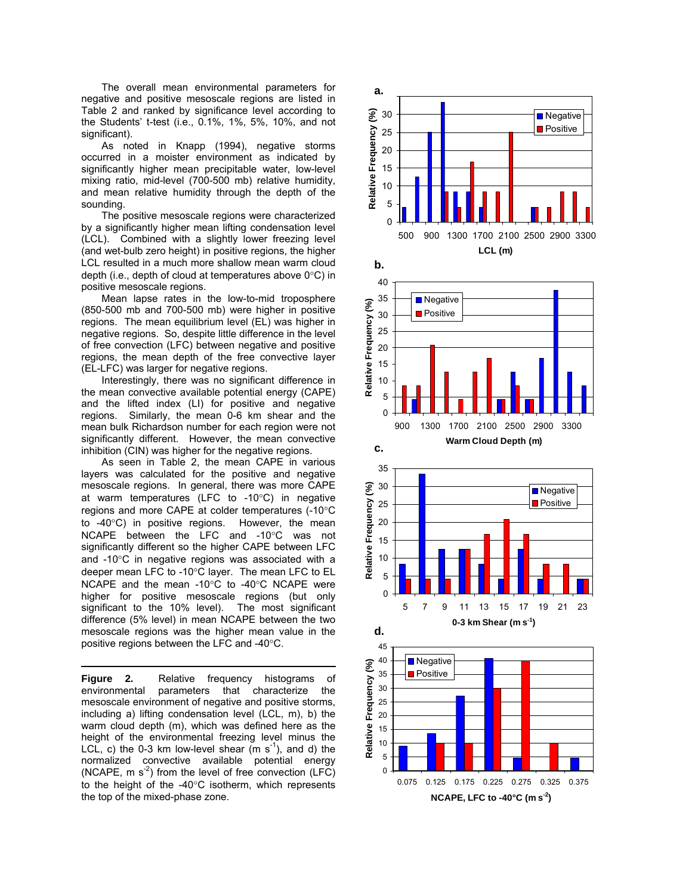The overall mean environmental parameters for negative and positive mesoscale regions are listed in Table 2 and ranked by significance level according to the Students' t-test (i.e., 0.1%, 1%, 5%, 10%, and not significant).

As noted in Knapp (1994), negative storms occurred in a moister environment as indicated by significantly higher mean precipitable water, low-level mixing ratio, mid-level (700-500 mb) relative humidity, and mean relative humidity through the depth of the sounding.

The positive mesoscale regions were characterized by a significantly higher mean lifting condensation level (LCL). Combined with a slightly lower freezing level (and wet-bulb zero height) in positive regions, the higher LCL resulted in a much more shallow mean warm cloud depth (i.e., depth of cloud at temperatures above 0°C) in positive mesoscale regions.

Mean lapse rates in the low-to-mid troposphere (850-500 mb and 700-500 mb) were higher in positive regions. The mean equilibrium level (EL) was higher in negative regions. So, despite little difference in the level of free convection (LFC) between negative and positive regions, the mean depth of the free convective layer (EL-LFC) was larger for negative regions.

Interestingly, there was no significant difference in the mean convective available potential energy (CAPE) and the lifted index (LI) for positive and negative regions. Similarly, the mean 0-6 km shear and the mean bulk Richardson number for each region were not significantly different. However, the mean convective inhibition (CIN) was higher for the negative regions.

As seen in Table 2, the mean CAPE in various layers was calculated for the positive and negative mesoscale regions. In general, there was more CAPE at warm temperatures (LFC to -10°C) in negative regions and more CAPE at colder temperatures (-10°C to -40°C) in positive regions. However, the mean NCAPE between the LFC and -10°C was not significantly different so the higher CAPE between LFC and -10°C in negative regions was associated with a deeper mean LFC to -10°C layer. The mean LFC to EL NCAPE and the mean -10°C to -40°C NCAPE were higher for positive mesoscale regions (but only significant to the 10% level). The most significant difference (5% level) in mean NCAPE between the two mesoscale regions was the higher mean value in the positive regions between the LFC and -40°C.

**Figure 2.** Relative frequency histograms of environmental parameters that characterize the mesoscale environment of negative and positive storms, including a) lifting condensation level (LCL, m), b) the warm cloud depth (m), which was defined here as the height of the environmental freezing level minus the LCL, c) the 0-3 km low-level shear  $(m s<sup>-1</sup>)$ , and d) the normalized convective available potential energy  $(NCAPE, m s<sup>-2</sup>)$  from the level of free convection  $(LFC)$ to the height of the -40°C isotherm, which represents the top of the mixed-phase zone.

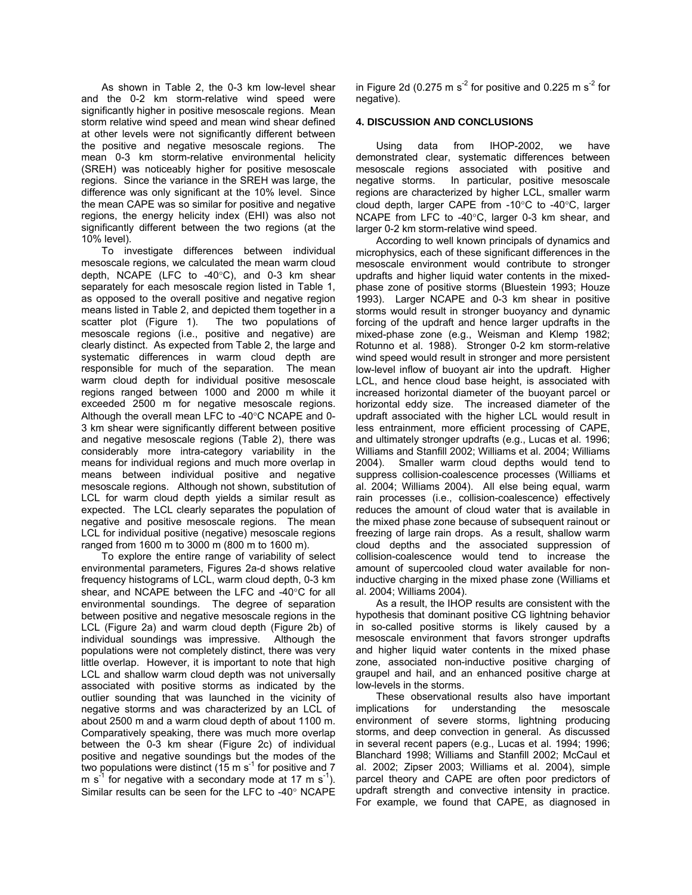As shown in Table 2, the 0-3 km low-level shear and the 0-2 km storm-relative wind speed were significantly higher in positive mesoscale regions. Mean storm relative wind speed and mean wind shear defined at other levels were not significantly different between the positive and negative mesoscale regions. The mean 0-3 km storm-relative environmental helicity (SREH) was noticeably higher for positive mesoscale regions. Since the variance in the SREH was large, the difference was only significant at the 10% level. Since the mean CAPE was so similar for positive and negative regions, the energy helicity index (EHI) was also not significantly different between the two regions (at the 10% level).

 To investigate differences between individual mesoscale regions, we calculated the mean warm cloud depth, NCAPE (LFC to -40°C), and 0-3 km shear separately for each mesoscale region listed in Table 1, as opposed to the overall positive and negative region means listed in Table 2, and depicted them together in a scatter plot (Figure 1). The two populations of mesoscale regions (i.e., positive and negative) are clearly distinct. As expected from Table 2, the large and systematic differences in warm cloud depth are responsible for much of the separation. The mean warm cloud depth for individual positive mesoscale regions ranged between 1000 and 2000 m while it exceeded 2500 m for negative mesoscale regions. Although the overall mean LFC to -40°C NCAPE and 0- 3 km shear were significantly different between positive and negative mesoscale regions (Table 2), there was considerably more intra-category variability in the means for individual regions and much more overlap in means between individual positive and negative mesoscale regions. Although not shown, substitution of LCL for warm cloud depth yields a similar result as expected. The LCL clearly separates the population of negative and positive mesoscale regions. The mean LCL for individual positive (negative) mesoscale regions ranged from 1600 m to 3000 m (800 m to 1600 m).

 To explore the entire range of variability of select environmental parameters, Figures 2a-d shows relative frequency histograms of LCL, warm cloud depth, 0-3 km shear, and NCAPE between the LFC and -40°C for all environmental soundings. The degree of separation between positive and negative mesoscale regions in the LCL (Figure 2a) and warm cloud depth (Figure 2b) of individual soundings was impressive. Although the populations were not completely distinct, there was very little overlap. However, it is important to note that high LCL and shallow warm cloud depth was not universally associated with positive storms as indicated by the outlier sounding that was launched in the vicinity of negative storms and was characterized by an LCL of about 2500 m and a warm cloud depth of about 1100 m. Comparatively speaking, there was much more overlap between the 0-3 km shear (Figure 2c) of individual positive and negative soundings but the modes of the two populations were distinct (15 m s<sup>-1</sup> for positive and 7 m s<sup>-1</sup> for negative with a secondary mode at 17 m s<sup>-1</sup>). Similar results can be seen for the LFC to -40° NCAPE

in Figure 2d (0.275 m  $s^2$  for positive and 0.225 m  $s^2$  for negative).

## **4. DISCUSSION AND CONCLUSIONS**

 Using data from IHOP-2002, we have demonstrated clear, systematic differences between mesoscale regions associated with positive and negative storms. In particular, positive mesoscale regions are characterized by higher LCL, smaller warm cloud depth, larger CAPE from -10°C to -40°C, larger NCAPE from LFC to -40°C, larger 0-3 km shear, and larger 0-2 km storm-relative wind speed.

 According to well known principals of dynamics and microphysics, each of these significant differences in the mesoscale environment would contribute to stronger updrafts and higher liquid water contents in the mixedphase zone of positive storms (Bluestein 1993; Houze 1993). Larger NCAPE and 0-3 km shear in positive storms would result in stronger buoyancy and dynamic forcing of the updraft and hence larger updrafts in the mixed-phase zone (e.g., Weisman and Klemp 1982; Rotunno et al. 1988). Stronger 0-2 km storm-relative wind speed would result in stronger and more persistent low-level inflow of buoyant air into the updraft. Higher LCL, and hence cloud base height, is associated with increased horizontal diameter of the buoyant parcel or horizontal eddy size. The increased diameter of the updraft associated with the higher LCL would result in less entrainment, more efficient processing of CAPE, and ultimately stronger updrafts (e.g., Lucas et al. 1996; Williams and Stanfill 2002; Williams et al. 2004; Williams 2004). Smaller warm cloud depths would tend to suppress collision-coalescence processes (Williams et al. 2004; Williams 2004). All else being equal, warm rain processes (i.e., collision-coalescence) effectively reduces the amount of cloud water that is available in the mixed phase zone because of subsequent rainout or freezing of large rain drops. As a result, shallow warm cloud depths and the associated suppression of collision-coalescence would tend to increase the amount of supercooled cloud water available for noninductive charging in the mixed phase zone (Williams et al. 2004; Williams 2004).

 As a result, the IHOP results are consistent with the hypothesis that dominant positive CG lightning behavior in so-called positive storms is likely caused by a mesoscale environment that favors stronger updrafts and higher liquid water contents in the mixed phase zone, associated non-inductive positive charging of graupel and hail, and an enhanced positive charge at low-levels in the storms.

 These observational results also have important implications for understanding the mesoscale environment of severe storms, lightning producing storms, and deep convection in general. As discussed in several recent papers (e.g., Lucas et al. 1994; 1996; Blanchard 1998; Williams and Stanfill 2002; McCaul et al. 2002; Zipser 2003; Williams et al. 2004), simple parcel theory and CAPE are often poor predictors of updraft strength and convective intensity in practice. For example, we found that CAPE, as diagnosed in